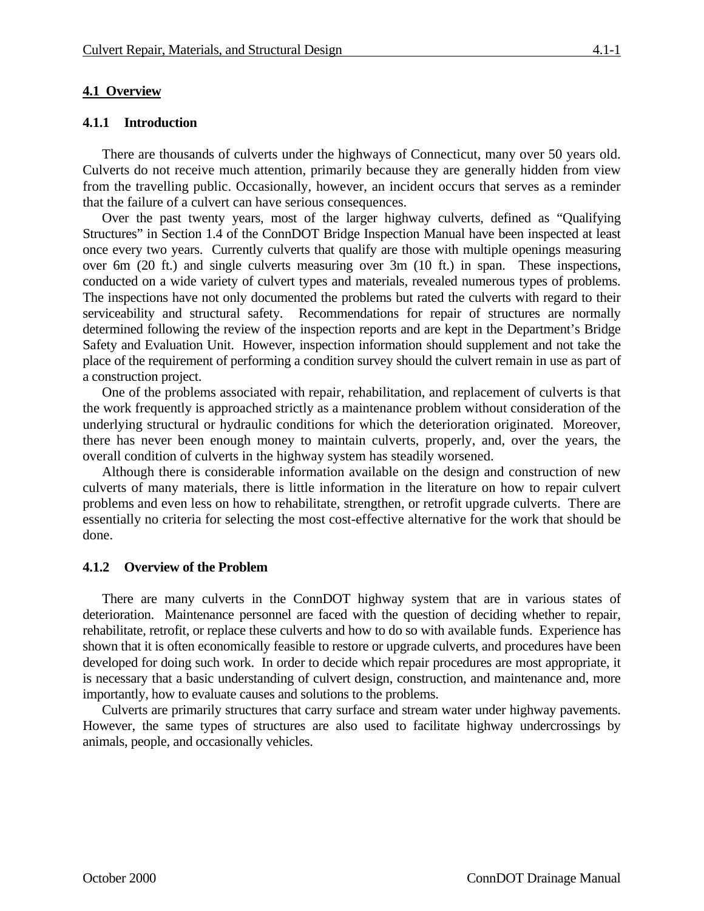## **4.1 Overview**

#### **4.1.1 Introduction**

There are thousands of culverts under the highways of Connecticut, many over 50 years old. Culverts do not receive much attention, primarily because they are generally hidden from view from the travelling public. Occasionally, however, an incident occurs that serves as a reminder that the failure of a culvert can have serious consequences.

Over the past twenty years, most of the larger highway culverts, defined as "Qualifying Structures" in Section 1.4 of the ConnDOT Bridge Inspection Manual have been inspected at least once every two years. Currently culverts that qualify are those with multiple openings measuring over 6m (20 ft.) and single culverts measuring over 3m (10 ft.) in span. These inspections, conducted on a wide variety of culvert types and materials, revealed numerous types of problems. The inspections have not only documented the problems but rated the culverts with regard to their serviceability and structural safety. Recommendations for repair of structures are normally determined following the review of the inspection reports and are kept in the Department's Bridge Safety and Evaluation Unit. However, inspection information should supplement and not take the place of the requirement of performing a condition survey should the culvert remain in use as part of a construction project.

One of the problems associated with repair, rehabilitation, and replacement of culverts is that the work frequently is approached strictly as a maintenance problem without consideration of the underlying structural or hydraulic conditions for which the deterioration originated. Moreover, there has never been enough money to maintain culverts, properly, and, over the years, the overall condition of culverts in the highway system has steadily worsened.

Although there is considerable information available on the design and construction of new culverts of many materials, there is little information in the literature on how to repair culvert problems and even less on how to rehabilitate, strengthen, or retrofit upgrade culverts. There are essentially no criteria for selecting the most cost-effective alternative for the work that should be done.

#### **4.1.2 Overview of the Problem**

There are many culverts in the ConnDOT highway system that are in various states of deterioration. Maintenance personnel are faced with the question of deciding whether to repair, rehabilitate, retrofit, or replace these culverts and how to do so with available funds. Experience has shown that it is often economically feasible to restore or upgrade culverts, and procedures have been developed for doing such work. In order to decide which repair procedures are most appropriate, it is necessary that a basic understanding of culvert design, construction, and maintenance and, more importantly, how to evaluate causes and solutions to the problems.

Culverts are primarily structures that carry surface and stream water under highway pavements. However, the same types of structures are also used to facilitate highway undercrossings by animals, people, and occasionally vehicles.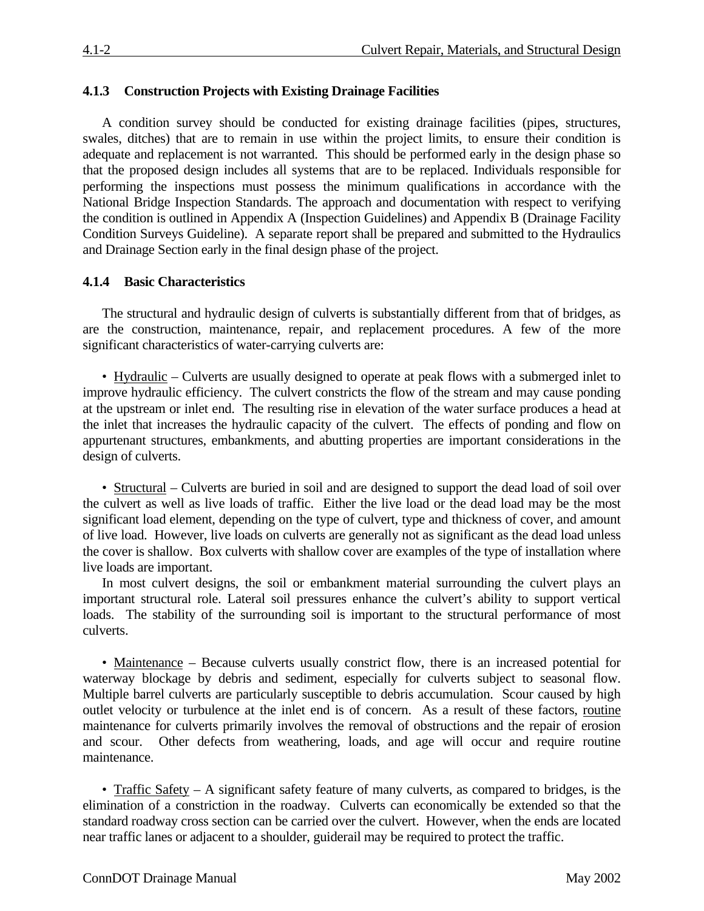## **4.1.3 Construction Projects with Existing Drainage Facilities**

A condition survey should be conducted for existing drainage facilities (pipes, structures, swales, ditches) that are to remain in use within the project limits, to ensure their condition is adequate and replacement is not warranted. This should be performed early in the design phase so that the proposed design includes all systems that are to be replaced. Individuals responsible for performing the inspections must possess the minimum qualifications in accordance with the National Bridge Inspection Standards. The approach and documentation with respect to verifying the condition is outlined in Appendix A (Inspection Guidelines) and Appendix B (Drainage Facility Condition Surveys Guideline). A separate report shall be prepared and submitted to the Hydraulics and Drainage Section early in the final design phase of the project.

## **4.1.4 Basic Characteristics**

The structural and hydraulic design of culverts is substantially different from that of bridges, as are the construction, maintenance, repair, and replacement procedures. A few of the more significant characteristics of water-carrying culverts are:

• Hydraulic – Culverts are usually designed to operate at peak flows with a submerged inlet to improve hydraulic efficiency. The culvert constricts the flow of the stream and may cause ponding at the upstream or inlet end. The resulting rise in elevation of the water surface produces a head at the inlet that increases the hydraulic capacity of the culvert. The effects of ponding and flow on appurtenant structures, embankments, and abutting properties are important considerations in the design of culverts.

• Structural – Culverts are buried in soil and are designed to support the dead load of soil over the culvert as well as live loads of traffic. Either the live load or the dead load may be the most significant load element, depending on the type of culvert, type and thickness of cover, and amount of live load. However, live loads on culverts are generally not as significant as the dead load unless the cover is shallow. Box culverts with shallow cover are examples of the type of installation where live loads are important.

In most culvert designs, the soil or embankment material surrounding the culvert plays an important structural role. Lateral soil pressures enhance the culvert's ability to support vertical loads. The stability of the surrounding soil is important to the structural performance of most culverts.

• Maintenance – Because culverts usually constrict flow, there is an increased potential for waterway blockage by debris and sediment, especially for culverts subject to seasonal flow. Multiple barrel culverts are particularly susceptible to debris accumulation. Scour caused by high outlet velocity or turbulence at the inlet end is of concern. As a result of these factors, routine maintenance for culverts primarily involves the removal of obstructions and the repair of erosion and scour. Other defects from weathering, loads, and age will occur and require routine maintenance.

• Traffic Safety – A significant safety feature of many culverts, as compared to bridges, is the elimination of a constriction in the roadway. Culverts can economically be extended so that the standard roadway cross section can be carried over the culvert. However, when the ends are located near traffic lanes or adjacent to a shoulder, guiderail may be required to protect the traffic.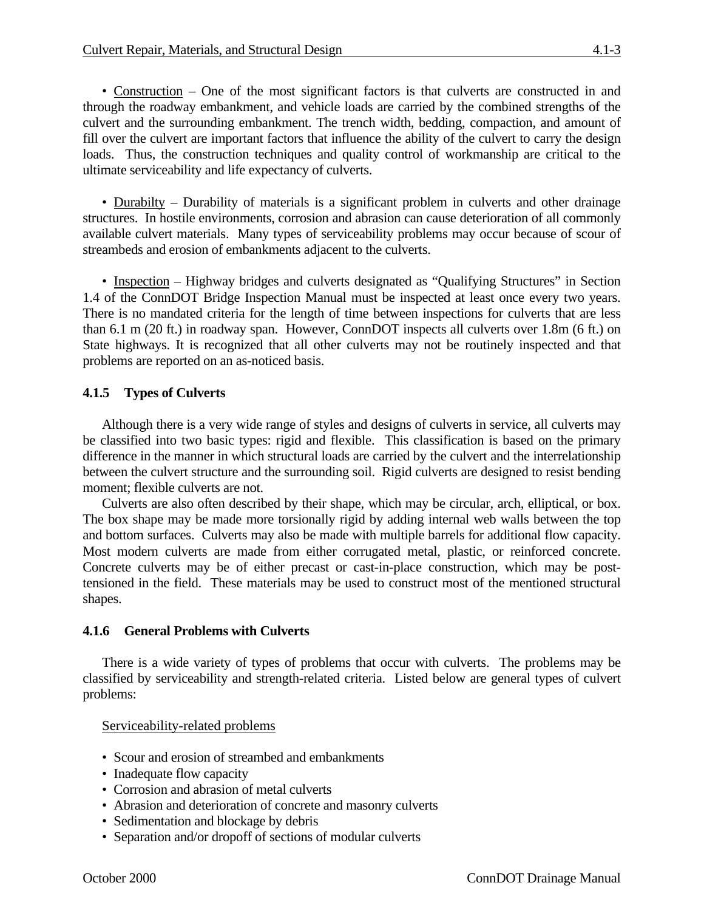• Construction – One of the most significant factors is that culverts are constructed in and through the roadway embankment, and vehicle loads are carried by the combined strengths of the culvert and the surrounding embankment. The trench width, bedding, compaction, and amount of fill over the culvert are important factors that influence the ability of the culvert to carry the design loads. Thus, the construction techniques and quality control of workmanship are critical to the ultimate serviceability and life expectancy of culverts.

• Durabilty – Durability of materials is a significant problem in culverts and other drainage structures. In hostile environments, corrosion and abrasion can cause deterioration of all commonly available culvert materials. Many types of serviceability problems may occur because of scour of streambeds and erosion of embankments adjacent to the culverts.

• Inspection – Highway bridges and culverts designated as "Qualifying Structures" in Section 1.4 of the ConnDOT Bridge Inspection Manual must be inspected at least once every two years. There is no mandated criteria for the length of time between inspections for culverts that are less than 6.1 m (20 ft.) in roadway span. However, ConnDOT inspects all culverts over 1.8m (6 ft.) on State highways. It is recognized that all other culverts may not be routinely inspected and that problems are reported on an as-noticed basis.

### **4.1.5 Types of Culverts**

Although there is a very wide range of styles and designs of culverts in service, all culverts may be classified into two basic types: rigid and flexible. This classification is based on the primary difference in the manner in which structural loads are carried by the culvert and the interrelationship between the culvert structure and the surrounding soil. Rigid culverts are designed to resist bending moment; flexible culverts are not.

Culverts are also often described by their shape, which may be circular, arch, elliptical, or box. The box shape may be made more torsionally rigid by adding internal web walls between the top and bottom surfaces. Culverts may also be made with multiple barrels for additional flow capacity. Most modern culverts are made from either corrugated metal, plastic, or reinforced concrete. Concrete culverts may be of either precast or cast-in-place construction, which may be posttensioned in the field. These materials may be used to construct most of the mentioned structural shapes.

#### **4.1.6 General Problems with Culverts**

There is a wide variety of types of problems that occur with culverts. The problems may be classified by serviceability and strength-related criteria. Listed below are general types of culvert problems:

#### Serviceability-related problems

- Scour and erosion of streambed and embankments
- Inadequate flow capacity
- Corrosion and abrasion of metal culverts
- Abrasion and deterioration of concrete and masonry culverts
- Sedimentation and blockage by debris
- Separation and/or dropoff of sections of modular culverts